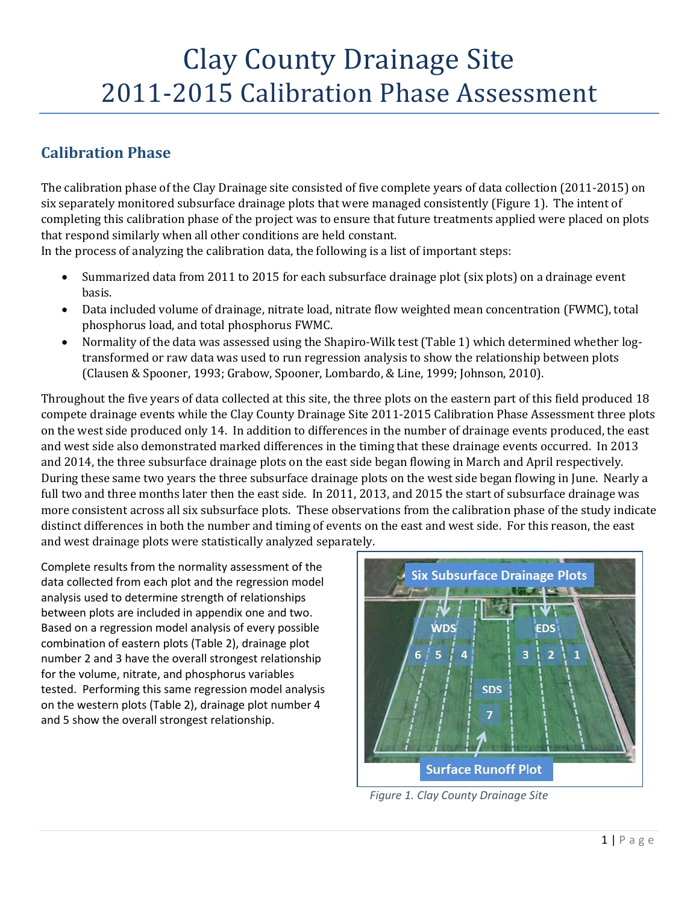# Clay County Drainage Site 2011-2015 Calibration Phase Assessment

# **Calibration Phase**

The calibration phase of the Clay Drainage site consisted of five complete years of data collection (2011-2015) on six separately monitored subsurface drainage plots that were managed consistently (Figure 1). The intent of completing this calibration phase of the project was to ensure that future treatments applied were placed on plots that respond similarly when all other conditions are held constant.

In the process of analyzing the calibration data, the following is a list of important steps:

- Summarized data from 2011 to 2015 for each subsurface drainage plot (six plots) on a drainage event basis.
- Data included volume of drainage, nitrate load, nitrate flow weighted mean concentration (FWMC), total phosphorus load, and total phosphorus FWMC.
- Normality of the data was assessed using the Shapiro-Wilk test (Table 1) which determined whether logtransformed or raw data was used to run regression analysis to show the relationship between plots (Clausen & Spooner, 1993; Grabow, Spooner, Lombardo, & Line, 1999; Johnson, 2010).

Throughout the five years of data collected at this site, the three plots on the eastern part of this field produced 18 compete drainage events while the Clay County Drainage Site 2011-2015 Calibration Phase Assessment three plots on the west side produced only 14. In addition to differences in the number of drainage events produced, the east and west side also demonstrated marked differences in the timing that these drainage events occurred. In 2013 and 2014, the three subsurface drainage plots on the east side began flowing in March and April respectively. During these same two years the three subsurface drainage plots on the west side began flowing in June. Nearly a full two and three months later then the east side. In 2011, 2013, and 2015 the start of subsurface drainage was more consistent across all six subsurface plots. These observations from the calibration phase of the study indicate distinct differences in both the number and timing of events on the east and west side. For this reason, the east and west drainage plots were statistically analyzed separately.

Complete results from the normality assessment of the data collected from each plot and the regression model analysis used to determine strength of relationships between plots are included in appendix one and two. Based on a regression model analysis of every possible combination of eastern plots (Table 2), drainage plot number 2 and 3 have the overall strongest relationship for the volume, nitrate, and phosphorus variables tested. Performing this same regression model analysis on the western plots (Table 2), drainage plot number 4 and 5 show the overall strongest relationship.



*Figure 1. Clay County Drainage Site*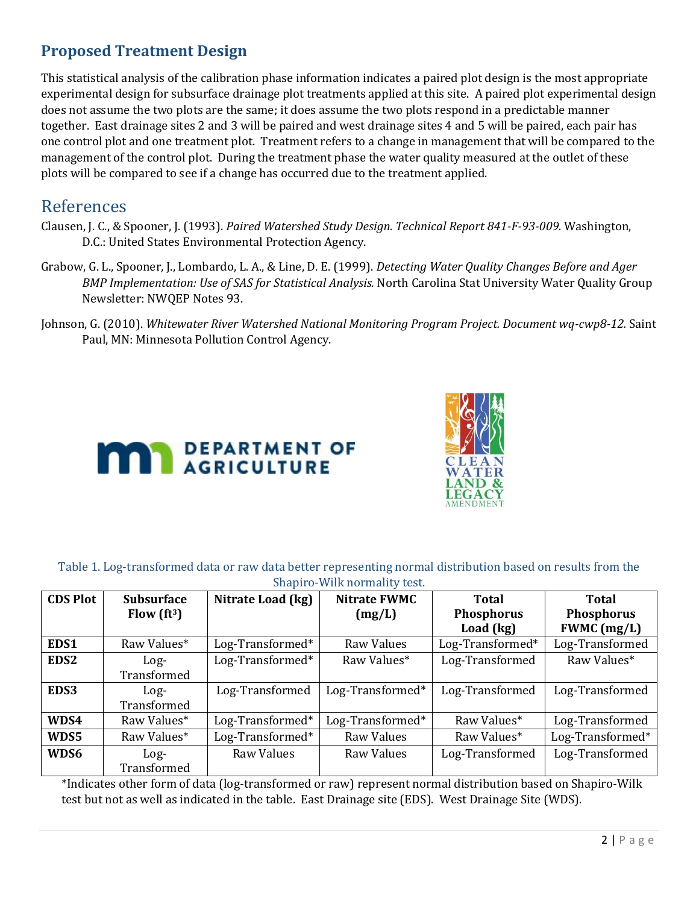# **Proposed Treatment Design**

This statistical analysis of the calibration phase information indicates a paired plot design is the most appropriate experimental design for subsurface drainage plot treatments applied at this site. A paired plot experimental design does not assume the two plots are the same; it does assume the two plots respond in a predictable manner together. East drainage sites 2 and 3 will be paired and west drainage sites 4 and 5 will be paired, each pair has one control plot and one treatment plot. Treatment refers to a change in management that will be compared to the management of the control plot. During the treatment phase the water quality measured at the outlet of these plots will be compared to see if a change has occurred due to the treatment applied.

## References

- Clausen, J. C., & Spooner, J. (1993). *Paired Watershed Study Design. Technical Report 841-F-93-009.* Washington, D.C.: United States Environmental Protection Agency.
- Grabow, G. L., Spooner, J., Lombardo, L. A., & Line, D. E. (1999). *Detecting Water Quality Changes Before and Ager BMP Implementation: Use of SAS for Statistical Analysis.* North Carolina Stat University Water Quality Group Newsletter: NWQEP Notes 93.
- Johnson, G. (2010). *Whitewater River Watershed National Monitoring Program Project. Document wq-cwp8-12.* Saint Paul, MN: Minnesota Pollution Control Agency.





## Table 1. Log-transformed data or raw data better representing normal distribution based on results from the Shapiro-Wilk normality test.

| bridge of the normality today |                                 |                   |                     |                   |                   |  |  |  |
|-------------------------------|---------------------------------|-------------------|---------------------|-------------------|-------------------|--|--|--|
| <b>CDS Plot</b>               | <b>Subsurface</b>               | Nitrate Load (kg) | <b>Nitrate FWMC</b> | Total             | Total             |  |  |  |
|                               | Flow $\left(\text{ft}^3\right)$ |                   | (mg/L)              | <b>Phosphorus</b> | <b>Phosphorus</b> |  |  |  |
|                               |                                 |                   |                     | Load (kg)         | $FWMC$ (mg/L)     |  |  |  |
| EDS1                          | Raw Values*                     | Log-Transformed*  | Raw Values          | Log-Transformed*  | Log-Transformed   |  |  |  |
| EDS <sub>2</sub>              | $Log-$                          | Log-Transformed*  | Raw Values*         | Log-Transformed   | Raw Values*       |  |  |  |
|                               | Transformed                     |                   |                     |                   |                   |  |  |  |
| EDS3                          | $Log-$                          | Log-Transformed   | Log-Transformed*    | Log-Transformed   | Log-Transformed   |  |  |  |
|                               | Transformed                     |                   |                     |                   |                   |  |  |  |
| WDS4                          | Raw Values*                     | Log-Transformed*  | Log-Transformed*    | Raw Values*       | Log-Transformed   |  |  |  |
| WDS5                          | Raw Values*                     | Log-Transformed*  | Raw Values          | Raw Values*       | Log-Transformed*  |  |  |  |
| WDS6                          | $Log-$                          | <b>Raw Values</b> | Raw Values          | Log-Transformed   | Log-Transformed   |  |  |  |
|                               | Transformed                     |                   |                     |                   |                   |  |  |  |

\*Indicates other form of data (log-transformed or raw) represent normal distribution based on Shapiro-Wilk test but not as well as indicated in the table. East Drainage site (EDS). West Drainage Site (WDS).